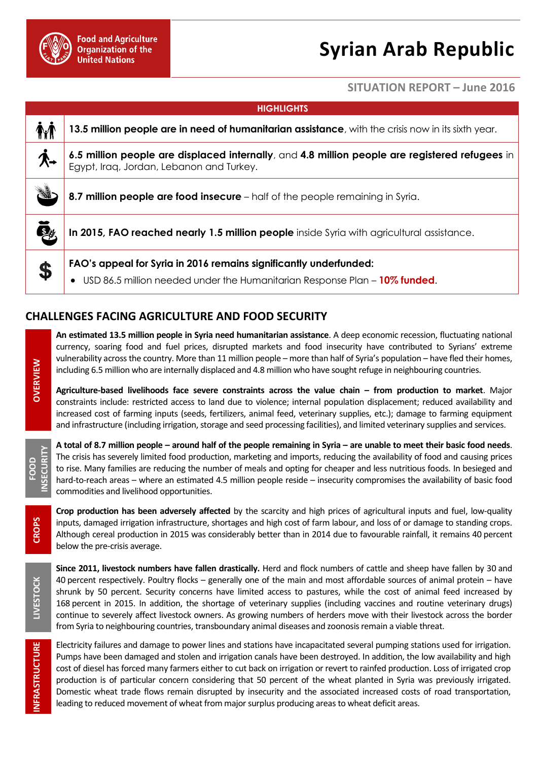

## **Syrian Arab Republic**

## **SITUATION REPORT – June 2016**

| <b>HIGHLIGHTS</b> |                                                                                                                                                 |
|-------------------|-------------------------------------------------------------------------------------------------------------------------------------------------|
| <b>TYT</b>        | 13.5 million people are in need of humanitarian assistance, with the crisis now in its sixth year.                                              |
| ′k→               | 6.5 million people are displaced internally, and 4.8 million people are registered refugees in<br>Egypt, Iraq, Jordan, Lebanon and Turkey.      |
|                   | 8.7 million people are food insecure - half of the people remaining in Syria.                                                                   |
| \$                | In 2015, FAO reached nearly 1.5 million people inside Syria with agricultural assistance.                                                       |
| \$                | FAO's appeal for Syria in 2016 remains significantly underfunded:<br>USD 86.5 million needed under the Humanitarian Response Plan - 10% funded. |

## **CHALLENGES FACING AGRICULTURE AND FOOD SECURITY**

**An estimated 13.5 million people in Syria need humanitarian assistance**. A deep economic recession, fluctuating national currency, soaring food and fuel prices, disrupted markets and food insecurity have contributed to Syrians' extreme vulnerability across the country. More than 11 million people – more than half of Syria's population – have fled their homes, including 6.5 million who are internally displaced and 4.8 million who have sought refuge in neighbouring countries.

**Agriculture-based livelihoods face severe constraints across the value chain – from production to market**. Major constraints include: restricted access to land due to violence; internal population displacement; reduced availability and increased cost of farming inputs (seeds, fertilizers, animal feed, veterinary supplies, etc.); damage to farming equipment and infrastructure (including irrigation, storage and seed processing facilities), and limited veterinary supplies and services.

**A total of 8.7 million people – around half of the people remaining in Syria – are unable to meet their basic food needs**. The crisis has severely limited food production, marketing and imports, reducing the availability of food and causing prices to rise. Many families are reducing the number of meals and opting for cheaper and less nutritious foods. In besieged and hard-to-reach areas – where an estimated 4.5 million people reside – insecurity compromises the availability of basic food commodities and livelihood opportunities.

**Crop production has been adversely affected** by the scarcity and high prices of agricultural inputs and fuel, low-quality inputs, damaged irrigation infrastructure, shortages and high cost of farm labour, and loss of or damage to standing crops. Although cereal production in 2015 was considerably better than in 2014 due to favourable rainfall, it remains 40 percent below the pre-crisis average.

**Since 2011, livestock numbers have fallen drastically.** Herd and flock numbers of cattle and sheep have fallen by 30 and 40 percent respectively. Poultry flocks – generally one of the main and most affordable sources of animal protein – have shrunk by 50 percent. Security concerns have limited access to pastures, while the cost of animal feed increased by 168 percent in 2015. In addition, the shortage of veterinary supplies (including vaccines and routine veterinary drugs) continue to severely affect livestock owners. As growing numbers of herders move with their livestock across the border from Syria to neighbouring countries, transboundary animal diseases and zoonosis remain a viable threat.

Electricity failures and damage to power lines and stations have incapacitated several pumping stations used for irrigation. Pumps have been damaged and stolen and irrigation canals have been destroyed. In addition, the low availability and high cost of diesel has forced many farmers either to cut back on irrigation or revert to rainfed production. Loss of irrigated crop production is of particular concern considering that 50 percent of the wheat planted in Syria was previously irrigated. Domestic wheat trade flows remain disrupted by insecurity and the associated increased costs of road transportation, leading to reduced movement of wheat from major surplus producing areas to wheat deficit areas.